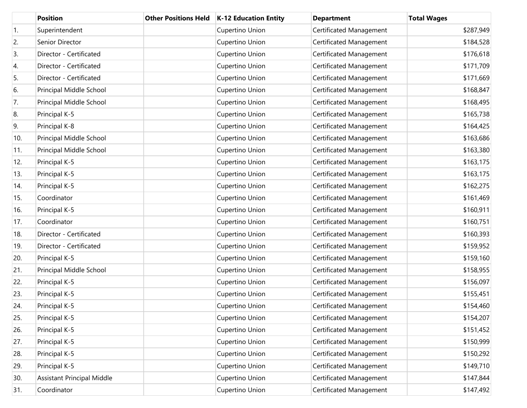|     | <b>Position</b>                   | <b>Other Positions Held</b> | <b>K-12 Education Entity</b> | <b>Department</b>       | <b>Total Wages</b> |
|-----|-----------------------------------|-----------------------------|------------------------------|-------------------------|--------------------|
| 1.  | Superintendent                    |                             | Cupertino Union              | Certificated Management | \$287,949          |
| 2.  | Senior Director                   |                             | Cupertino Union              | Certificated Management | \$184,528          |
| 3.  | Director - Certificated           |                             | Cupertino Union              | Certificated Management | \$176,618          |
| 4.  | Director - Certificated           |                             | Cupertino Union              | Certificated Management | \$171,709          |
| 5.  | Director - Certificated           |                             | Cupertino Union              | Certificated Management | \$171,669          |
| 6.  | Principal Middle School           |                             | Cupertino Union              | Certificated Management | \$168,847          |
| 7.  | Principal Middle School           |                             | Cupertino Union              | Certificated Management | \$168,495          |
| 8.  | Principal K-5                     |                             | Cupertino Union              | Certificated Management | \$165,738          |
| 9.  | Principal K-8                     |                             | Cupertino Union              | Certificated Management | \$164,425          |
| 10. | Principal Middle School           |                             | Cupertino Union              | Certificated Management | \$163,686          |
| 11. | Principal Middle School           |                             | Cupertino Union              | Certificated Management | \$163,380          |
| 12. | Principal K-5                     |                             | Cupertino Union              | Certificated Management | \$163,175          |
| 13. | Principal K-5                     |                             | Cupertino Union              | Certificated Management | \$163,175          |
| 14. | Principal K-5                     |                             | Cupertino Union              | Certificated Management | \$162,275          |
| 15. | Coordinator                       |                             | Cupertino Union              | Certificated Management | \$161,469          |
| 16. | Principal K-5                     |                             | Cupertino Union              | Certificated Management | \$160,911          |
| 17. | Coordinator                       |                             | Cupertino Union              | Certificated Management | \$160,751          |
| 18. | Director - Certificated           |                             | Cupertino Union              | Certificated Management | \$160,393          |
| 19. | Director - Certificated           |                             | Cupertino Union              | Certificated Management | \$159,952          |
| 20. | Principal K-5                     |                             | Cupertino Union              | Certificated Management | \$159,160          |
| 21. | Principal Middle School           |                             | Cupertino Union              | Certificated Management | \$158,955          |
| 22. | Principal K-5                     |                             | Cupertino Union              | Certificated Management | \$156,097          |
| 23. | Principal K-5                     |                             | Cupertino Union              | Certificated Management | \$155,451          |
| 24. | Principal K-5                     |                             | Cupertino Union              | Certificated Management | \$154,460          |
| 25. | Principal K-5                     |                             | Cupertino Union              | Certificated Management | \$154,207          |
| 26. | Principal K-5                     |                             | Cupertino Union              | Certificated Management | \$151,452          |
| 27. | Principal K-5                     |                             | Cupertino Union              | Certificated Management | \$150,999          |
| 28. | Principal K-5                     |                             | Cupertino Union              | Certificated Management | \$150,292          |
| 29. | Principal K-5                     |                             | Cupertino Union              | Certificated Management | \$149,710          |
| 30. | <b>Assistant Principal Middle</b> |                             | Cupertino Union              | Certificated Management | \$147,844          |
| 31. | Coordinator                       |                             | Cupertino Union              | Certificated Management | \$147,492          |